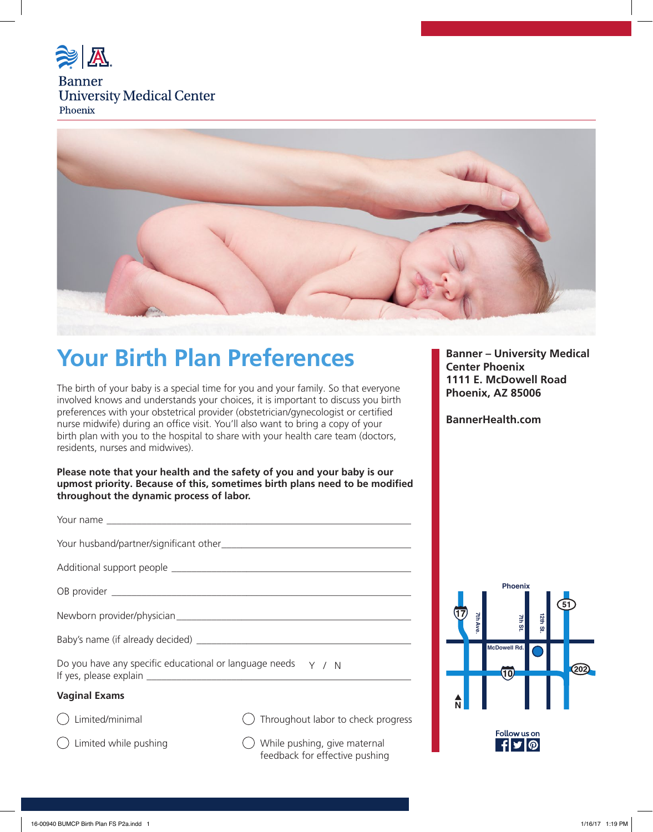

## **Banner University Medical Center** Phoenix



# **Your Birth Plan Preferences Banner – University Medical**

The birth of your baby is a special time for you and your family. So that everyone involved knows and understands your choices, it is important to discuss you birth preferences with your obstetrical provider (obstetrician/gynecologist or certified nurse midwife) during an office visit. You'll also want to bring a copy of your birth plan with you to the hospital to share with your health care team (doctors, residents, nurses and midwives).

**Please note that your health and the safety of you and your baby is our upmost priority. Because of this, sometimes birth plans need to be modified throughout the dynamic process of labor.** 

| Do you have any specific educational or language needs $\gamma$ / N                                                                      |
|------------------------------------------------------------------------------------------------------------------------------------------|
| $\mathbf{M}$ and $\mathbf{M}$ and $\mathbf{M}$ and $\mathbf{M}$ are the set of $\mathbf{M}$ and $\mathbf{M}$ are the set of $\mathbf{M}$ |

## **Vaginal Exams**

 $\bigcap$  Limited/minimal

 $\bigcap$  Limited while pushing

 $\bigcirc$  Throughout labor to check progress

 $\bigcirc$  While pushing, give maternal feedback for effective pushing

**Center Phoenix 1111 E. McDowell Road Phoenix, AZ 85006**

**BannerHealth.com**

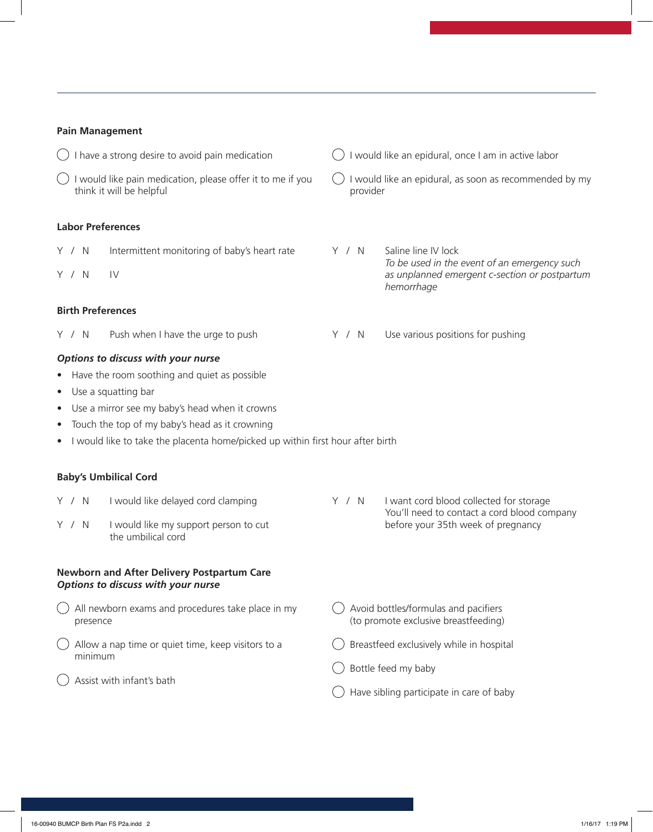## **Pain Management**

 $\bigcirc$  I have a strong desire to avoid pain medication  $\bigcirc$  I would like pain medication, please offer it to me if you think it will be helpful  $\bigcirc$  I would like an epidural, once I am in active labor  $\bigcirc$  I would like an epidural, as soon as recommended by my provider **Labor Preferences**  Y / N Intermittent monitoring of baby's heart rate Y / N IV Y / N Saline line IV lock *To be used in the event of an emergency such as unplanned emergent c-section or postpartum hemorrhage*  **Birth Preferences**  Y / N Push when I have the urge to push Y / N Use various positions for pushing *Options to discuss with your nurse*  • Have the room soothing and quiet as possible Use a squatting bar Use a mirror see my baby's head when it crowns Touch the top of my baby's head as it crowning I would like to take the placenta home/picked up within first hour after birth **Baby's Umbilical Cord** Y / N I would like delayed cord clamping Y / N I would like my support person to cut the umbilical cord Y / N I want cord blood collected for storage You'll need to contact a cord blood company before your 35th week of pregnancy **Newborn and After Delivery Postpartum Care**  *Options to discuss with your nurse*   $\bigcirc$  All newborn exams and procedures take place in my presence  $\bigcirc$  Allow a nap time or quiet time, keep visitors to a minimum  $\bigcirc$  Assist with infant's bath Avoid bottles/formulas and pacifiers (to promote exclusive breastfeeding)  $\bigcirc$  Breastfeed exclusively while in hospital Bottle feed my baby  $\bigcirc$  Have sibling participate in care of baby